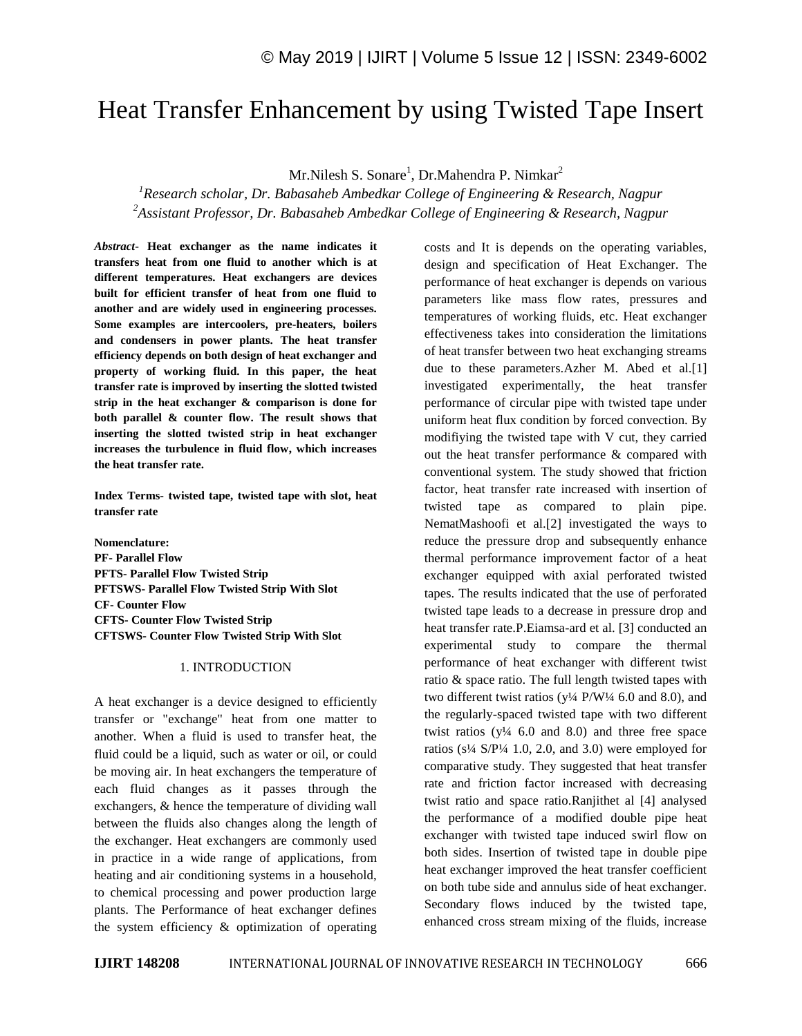# Heat Transfer Enhancement by using Twisted Tape Insert

Mr.Nilesh S. Sonare<sup>1</sup>, Dr.Mahendra P. Nimkar<sup>2</sup>

*<sup>1</sup>Research scholar, Dr. Babasaheb Ambedkar College of Engineering & Research, Nagpur <sup>2</sup>Assistant Professor, Dr. Babasaheb Ambedkar College of Engineering & Research, Nagpur*

*Abstract*- **Heat exchanger as the name indicates it transfers heat from one fluid to another which is at different temperatures. Heat exchangers are devices built for efficient transfer of heat from one fluid to another and are widely used in engineering processes. Some examples are intercoolers, pre-heaters, boilers and condensers in power plants. The heat transfer efficiency depends on both design of heat exchanger and property of working fluid. In this paper, the heat transfer rate is improved by inserting the slotted twisted strip in the heat exchanger & comparison is done for both parallel & counter flow. The result shows that inserting the slotted twisted strip in heat exchanger increases the turbulence in fluid flow, which increases the heat transfer rate.**

**Index Terms- twisted tape, twisted tape with slot, heat transfer rate**

**Nomenclature: PF- Parallel Flow PFTS- Parallel Flow Twisted Strip PFTSWS- Parallel Flow Twisted Strip With Slot CF- Counter Flow CFTS- Counter Flow Twisted Strip CFTSWS- Counter Flow Twisted Strip With Slot**

### 1. INTRODUCTION

A heat exchanger is a device designed to efficiently transfer or "exchange" heat from one matter to another. When a fluid is used to transfer heat, the fluid could be a liquid, such as water or oil, or could be moving air. In heat exchangers the temperature of each fluid changes as it passes through the exchangers, & hence the temperature of dividing wall between the fluids also changes along the length of the exchanger. Heat exchangers are commonly used in practice in a wide range of applications, from heating and air conditioning systems in a household, to chemical processing and power production large plants. The Performance of heat exchanger defines the system efficiency & optimization of operating costs and It is depends on the operating variables, design and specification of Heat Exchanger. The performance of heat exchanger is depends on various parameters like mass flow rates, pressures and temperatures of working fluids, etc. Heat exchanger effectiveness takes into consideration the limitations of heat transfer between two heat exchanging streams due to these parameters.Azher M. Abed et al.[1] investigated experimentally, the heat transfer performance of circular pipe with twisted tape under uniform heat flux condition by forced convection. By modifiying the twisted tape with V cut, they carried out the heat transfer performance & compared with conventional system. The study showed that friction factor, heat transfer rate increased with insertion of twisted tape as compared to plain pipe. NematMashoofi et al.[2] investigated the ways to reduce the pressure drop and subsequently enhance thermal performance improvement factor of a heat exchanger equipped with axial perforated twisted tapes. The results indicated that the use of perforated twisted tape leads to a decrease in pressure drop and heat transfer rate.P.Eiamsa-ard et al. [3] conducted an experimental study to compare the thermal performance of heat exchanger with different twist ratio & space ratio. The full length twisted tapes with two different twist ratios ( $y\frac{1}{4}P/W\frac{1}{4}$  6.0 and 8.0), and the regularly-spaced twisted tape with two different twist ratios  $(y\frac{1}{4} 6.0$  and 8.0) and three free space ratios ( $s^{1/4}$  S/P<sup>1</sup>/4 1.0, 2.0, and 3.0) were employed for comparative study. They suggested that heat transfer rate and friction factor increased with decreasing twist ratio and space ratio.Ranjithet al [4] analysed the performance of a modified double pipe heat exchanger with twisted tape induced swirl flow on both sides. Insertion of twisted tape in double pipe heat exchanger improved the heat transfer coefficient on both tube side and annulus side of heat exchanger. Secondary flows induced by the twisted tape, enhanced cross stream mixing of the fluids, increase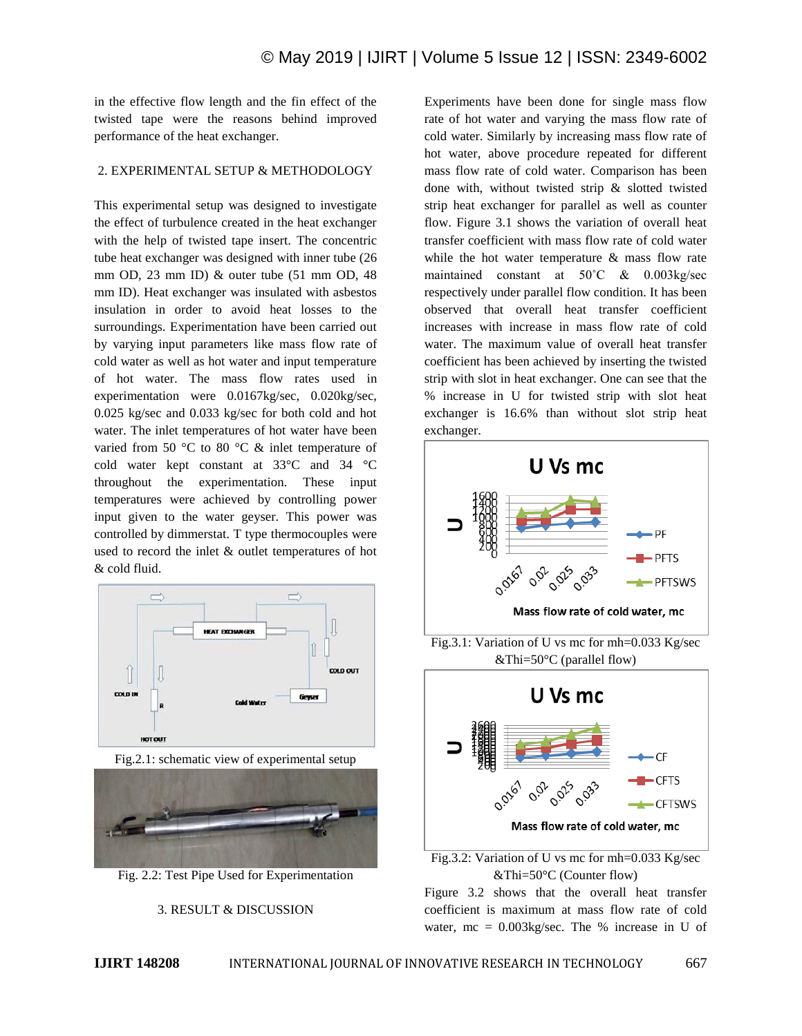in the effective flow length and the fin effect of the twisted tape were the reasons behind improved performance of the heat exchanger.

#### 2. EXPERIMENTAL SETUP & METHODOLOGY

This experimental setup was designed to investigate the effect of turbulence created in the heat exchanger with the help of twisted tape insert. The concentric tube heat exchanger was designed with inner tube (26 mm OD, 23 mm ID) & outer tube (51 mm OD, 48 mm ID). Heat exchanger was insulated with asbestos insulation in order to avoid heat losses to the surroundings. Experimentation have been carried out by varying input parameters like mass flow rate of cold water as well as hot water and input temperature of hot water. The mass flow rates used in experimentation were 0.0167kg/sec, 0.020kg/sec, 0.025 kg/sec and 0.033 kg/sec for both cold and hot water. The inlet temperatures of hot water have been varied from 50 °C to 80 °C & inlet temperature of cold water kept constant at 33°C and 34 °C throughout the experimentation. These input temperatures were achieved by controlling power input given to the water geyser. This power was controlled by dimmerstat. T type thermocouples were used to record the inlet & outlet temperatures of hot & cold fluid.



Fig.2.1: schematic view of experimental setup



Fig. 2.2: Test Pipe Used for Experimentation



Experiments have been done for single mass flow rate of hot water and varying the mass flow rate of cold water. Similarly by increasing mass flow rate of hot water, above procedure repeated for different mass flow rate of cold water. Comparison has been done with, without twisted strip & slotted twisted strip heat exchanger for parallel as well as counter flow. Figure 3.1 shows the variation of overall heat transfer coefficient with mass flow rate of cold water while the hot water temperature & mass flow rate maintained constant at 50˚C & 0.003kg/sec respectively under parallel flow condition. It has been observed that overall heat transfer coefficient increases with increase in mass flow rate of cold water. The maximum value of overall heat transfer coefficient has been achieved by inserting the twisted strip with slot in heat exchanger. One can see that the % increase in U for twisted strip with slot heat exchanger is 16.6% than without slot strip heat exchanger.



Fig.3.2: Variation of U vs mc for mh=0.033 Kg/sec &Thi=50°C (Counter flow)

Figure 3.2 shows that the overall heat transfer coefficient is maximum at mass flow rate of cold water,  $mc = 0.003$ kg/sec. The % increase in U of